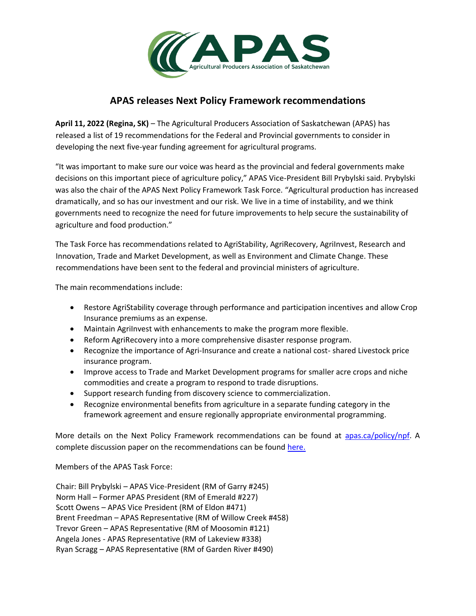

## **APAS releases Next Policy Framework recommendations**

**April 11, 2022 (Regina, SK)** – The Agricultural Producers Association of Saskatchewan (APAS) has released a list of 19 recommendations for the Federal and Provincial governments to consider in developing the next five-year funding agreement for agricultural programs.

"It was important to make sure our voice was heard as the provincial and federal governments make decisions on this important piece of agriculture policy," APAS Vice-President Bill Prybylski said. Prybylski was also the chair of the APAS Next Policy Framework Task Force. "Agricultural production has increased dramatically, and so has our investment and our risk. We live in a time of instability, and we think governments need to recognize the need for future improvements to help secure the sustainability of agriculture and food production."

The Task Force has recommendations related to AgriStability, AgriRecovery, AgriInvest, Research and Innovation, Trade and Market Development, as well as Environment and Climate Change. These recommendations have been sent to the federal and provincial ministers of agriculture.

The main recommendations include:

- Restore AgriStability coverage through performance and participation incentives and allow Crop Insurance premiums as an expense.
- Maintain AgriInvest with enhancements to make the program more flexible.
- Reform AgriRecovery into a more comprehensive disaster response program.
- Recognize the importance of Agri-Insurance and create a national cost- shared Livestock price insurance program.
- Improve access to Trade and Market Development programs for smaller acre crops and niche commodities and create a program to respond to trade disruptions.
- Support research funding from discovery science to commercialization.
- Recognize environmental benefits from agriculture in a separate funding category in the framework agreement and ensure regionally appropriate environmental programming.

More details on the Next Policy Framework recommendations can be found at [apas.ca/policy/npf.](https://apas.ca/policy/npf) A complete discussion paper on the recommendations can be found [here.](https://apas.ca/pub/documents/News%20Releases/npf-recommendations-discussion-paper---apr-6-2022.pdf)

Members of the APAS Task Force:

Chair: Bill Prybylski – APAS Vice-President (RM of Garry #245) Norm Hall – Former APAS President (RM of Emerald #227) Scott Owens – APAS Vice President (RM of Eldon #471) Brent Freedman – APAS Representative (RM of Willow Creek #458) Trevor Green – APAS Representative (RM of Moosomin #121) Angela Jones - APAS Representative (RM of Lakeview #338) Ryan Scragg – APAS Representative (RM of Garden River #490)